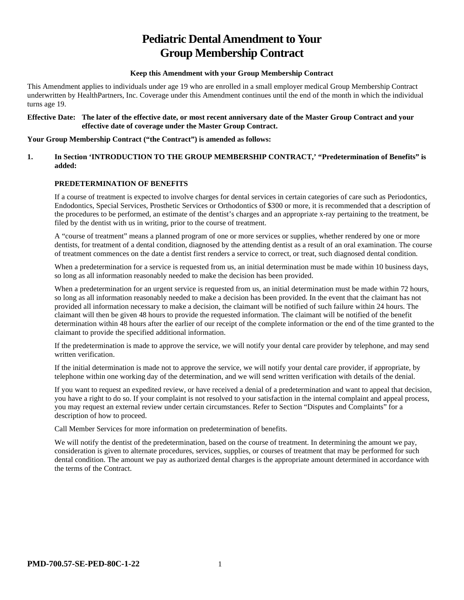# **Pediatric Dental Amendment to Your Group Membership Contract**

#### **Keep this Amendment with your Group Membership Contract**

This Amendment applies to individuals under age 19 who are enrolled in a small employer medical Group Membership Contract underwritten by HealthPartners, Inc. Coverage under this Amendment continues until the end of the month in which the individual turns age 19.

#### **Effective Date: The later of the effective date, or most recent anniversary date of the Master Group Contract and your effective date of coverage under the Master Group Contract.**

#### **Your Group Membership Contract ("the Contract") is amended as follows:**

# **1. In Section 'INTRODUCTION TO THE GROUP MEMBERSHIP CONTRACT,' "Predetermination of Benefits" is added:**

# **PREDETERMINATION OF BENEFITS**

If a course of treatment is expected to involve charges for dental services in certain categories of care such as Periodontics, Endodontics, Special Services, Prosthetic Services or Orthodontics of \$300 or more, it is recommended that a description of the procedures to be performed, an estimate of the dentist's charges and an appropriate x-ray pertaining to the treatment, be filed by the dentist with us in writing, prior to the course of treatment.

A "course of treatment" means a planned program of one or more services or supplies, whether rendered by one or more dentists, for treatment of a dental condition, diagnosed by the attending dentist as a result of an oral examination. The course of treatment commences on the date a dentist first renders a service to correct, or treat, such diagnosed dental condition.

When a predetermination for a service is requested from us, an initial determination must be made within 10 business days, so long as all information reasonably needed to make the decision has been provided.

When a predetermination for an urgent service is requested from us, an initial determination must be made within 72 hours, so long as all information reasonably needed to make a decision has been provided. In the event that the claimant has not provided all information necessary to make a decision, the claimant will be notified of such failure within 24 hours. The claimant will then be given 48 hours to provide the requested information. The claimant will be notified of the benefit determination within 48 hours after the earlier of our receipt of the complete information or the end of the time granted to the claimant to provide the specified additional information.

If the predetermination is made to approve the service, we will notify your dental care provider by telephone, and may send written verification.

If the initial determination is made not to approve the service, we will notify your dental care provider, if appropriate, by telephone within one working day of the determination, and we will send written verification with details of the denial.

If you want to request an expedited review, or have received a denial of a predetermination and want to appeal that decision, you have a right to do so. If your complaint is not resolved to your satisfaction in the internal complaint and appeal process, you may request an external review under certain circumstances. Refer to Section "Disputes and Complaints" for a description of how to proceed.

Call Member Services for more information on predetermination of benefits.

We will notify the dentist of the predetermination, based on the course of treatment. In determining the amount we pay, consideration is given to alternate procedures, services, supplies, or courses of treatment that may be performed for such dental condition. The amount we pay as authorized dental charges is the appropriate amount determined in accordance with the terms of the Contract.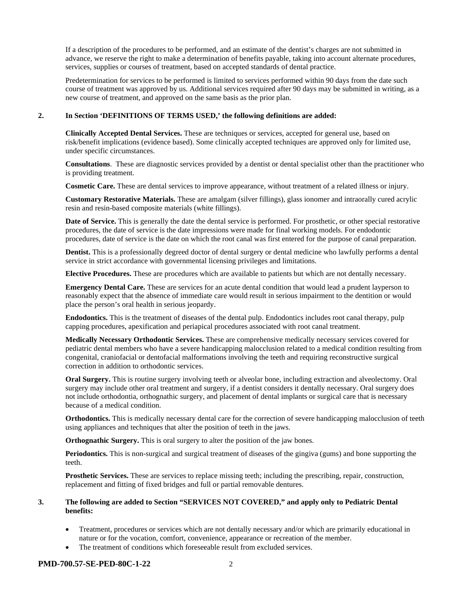If a description of the procedures to be performed, and an estimate of the dentist's charges are not submitted in advance, we reserve the right to make a determination of benefits payable, taking into account alternate procedures, services, supplies or courses of treatment, based on accepted standards of dental practice.

Predetermination for services to be performed is limited to services performed within 90 days from the date such course of treatment was approved by us. Additional services required after 90 days may be submitted in writing, as a new course of treatment, and approved on the same basis as the prior plan.

#### **2. In Section 'DEFINITIONS OF TERMS USED,' the following definitions are added:**

**Clinically Accepted Dental Services.** These are techniques or services, accepted for general use, based on risk/benefit implications (evidence based). Some clinically accepted techniques are approved only for limited use, under specific circumstances.

**Consultations**. These are diagnostic services provided by a dentist or dental specialist other than the practitioner who is providing treatment.

**Cosmetic Care.** These are dental services to improve appearance, without treatment of a related illness or injury.

**Customary Restorative Materials.** These are amalgam (silver fillings), glass ionomer and intraorally cured acrylic resin and resin-based composite materials (white fillings).

**Date of Service.** This is generally the date the dental service is performed. For prosthetic, or other special restorative procedures, the date of service is the date impressions were made for final working models. For endodontic procedures, date of service is the date on which the root canal was first entered for the purpose of canal preparation.

**Dentist.** This is a professionally degreed doctor of dental surgery or dental medicine who lawfully performs a dental service in strict accordance with governmental licensing privileges and limitations.

**Elective Procedures.** These are procedures which are available to patients but which are not dentally necessary.

**Emergency Dental Care.** These are services for an acute dental condition that would lead a prudent layperson to reasonably expect that the absence of immediate care would result in serious impairment to the dentition or would place the person's oral health in serious jeopardy.

**Endodontics.** This is the treatment of diseases of the dental pulp. Endodontics includes root canal therapy, pulp capping procedures, apexification and periapical procedures associated with root canal treatment.

**Medically Necessary Orthodontic Services.** These are comprehensive medically necessary services covered for pediatric dental members who have a severe handicapping malocclusion related to a medical condition resulting from congenital, craniofacial or dentofacial malformations involving the teeth and requiring reconstructive surgical correction in addition to orthodontic services.

**Oral Surgery.** This is routine surgery involving teeth or alveolar bone, including extraction and alveolectomy. Oral surgery may include other oral treatment and surgery, if a dentist considers it dentally necessary. Oral surgery does not include orthodontia, orthognathic surgery, and placement of dental implants or surgical care that is necessary because of a medical condition.

**Orthodontics.** This is medically necessary dental care for the correction of severe handicapping malocclusion of teeth using appliances and techniques that alter the position of teeth in the jaws.

**Orthognathic Surgery.** This is oral surgery to alter the position of the jaw bones.

**Periodontics.** This is non-surgical and surgical treatment of diseases of the gingiva (gums) and bone supporting the teeth.

**Prosthetic Services.** These are services to replace missing teeth; including the prescribing, repair, construction, replacement and fitting of fixed bridges and full or partial removable dentures.

### **3. The following are added to Section "SERVICES NOT COVERED," and apply only to Pediatric Dental benefits:**

- Treatment, procedures or services which are not dentally necessary and/or which are primarily educational in nature or for the vocation, comfort, convenience, appearance or recreation of the member.
- The treatment of conditions which foreseeable result from excluded services.

### **PMD-700.57-SE-PED-80C-1-22** 2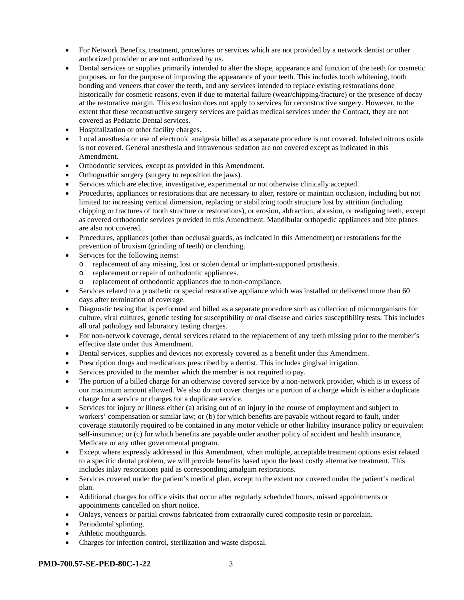- For Network Benefits, treatment, procedures or services which are not provided by a network dentist or other authorized provider or are not authorized by us.
- Dental services or supplies primarily intended to alter the shape, appearance and function of the teeth for cosmetic purposes, or for the purpose of improving the appearance of your teeth. This includes tooth whitening, tooth bonding and veneers that cover the teeth, and any services intended to replace existing restorations done historically for cosmetic reasons, even if due to material failure (wear/chipping/fracture) or the presence of decay at the restorative margin. This exclusion does not apply to services for reconstructive surgery. However, to the extent that these reconstructive surgery services are paid as medical services under the Contract, they are not covered as Pediatric Dental services.
- Hospitalization or other facility charges.
- Local anesthesia or use of electronic analgesia billed as a separate procedure is not covered. Inhaled nitrous oxide is not covered. General anesthesia and intravenous sedation are not covered except as indicated in this Amendment.
- Orthodontic services, except as provided in this Amendment.
- Orthognathic surgery (surgery to reposition the jaws).
- Services which are elective, investigative, experimental or not otherwise clinically accepted.
- Procedures, appliances or restorations that are necessary to alter, restore or maintain occlusion, including but not limited to: increasing vertical dimension, replacing or stabilizing tooth structure lost by attrition (including chipping or fractures of tooth structure or restorations), or erosion, abfraction, abrasion, or realigning teeth, except as covered orthodontic services provided in this Amendment. Mandibular orthopedic appliances and bite planes are also not covered.
- Procedures, appliances (other than occlusal guards, as indicated in this Amendment) or restorations for the prevention of bruxism (grinding of teeth) or clenching.
- Services for the following items:
	- o replacement of any missing, lost or stolen dental or implant-supported prosthesis.
	- o replacement or repair of orthodontic appliances.
	- o replacement of orthodontic appliances due to non-compliance.
- Services related to a prosthetic or special restorative appliance which was installed or delivered more than 60 days after termination of coverage.
- Diagnostic testing that is performed and billed as a separate procedure such as collection of microorganisms for culture, viral cultures, genetic testing for susceptibility or oral disease and caries susceptibility tests. This includes all oral pathology and laboratory testing charges.
- For non-network coverage, dental services related to the replacement of any teeth missing prior to the member's effective date under this Amendment.
- Dental services, supplies and devices not expressly covered as a benefit under this Amendment.
- Prescription drugs and medications prescribed by a dentist. This includes gingival irrigation.
- Services provided to the member which the member is not required to pay.
- The portion of a billed charge for an otherwise covered service by a non-network provider, which is in excess of our maximum amount allowed. We also do not cover charges or a portion of a charge which is either a duplicate charge for a service or charges for a duplicate service.
- Services for injury or illness either (a) arising out of an injury in the course of employment and subject to workers' compensation or similar law; or (b) for which benefits are payable without regard to fault, under coverage statutorily required to be contained in any motor vehicle or other liability insurance policy or equivalent self-insurance; or (c) for which benefits are payable under another policy of accident and health insurance, Medicare or any other governmental program.
- Except where expressly addressed in this Amendment, when multiple, acceptable treatment options exist related to a specific dental problem, we will provide benefits based upon the least costly alternative treatment. This includes inlay restorations paid as corresponding amalgam restorations.
- Services covered under the patient's medical plan, except to the extent not covered under the patient's medical plan.
- Additional charges for office visits that occur after regularly scheduled hours, missed appointments or appointments cancelled on short notice.
- Onlays, veneers or partial crowns fabricated from extraorally cured composite resin or porcelain.
- Periodontal splinting.
- Athletic mouthguards.
- Charges for infection control, sterilization and waste disposal.

### **PMD-700.57-SE-PED-80C-1-22** 3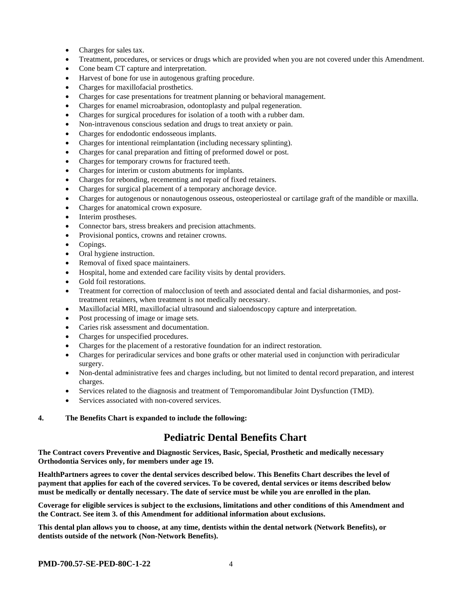- Charges for sales tax.
- Treatment, procedures, or services or drugs which are provided when you are not covered under this Amendment.
- Cone beam CT capture and interpretation.
- Harvest of bone for use in autogenous grafting procedure.
- Charges for maxillofacial prosthetics.
- Charges for case presentations for treatment planning or behavioral management.
- Charges for enamel microabrasion, odontoplasty and pulpal regeneration.
- Charges for surgical procedures for isolation of a tooth with a rubber dam.
- Non-intravenous conscious sedation and drugs to treat anxiety or pain.
- Charges for endodontic endosseous implants.
- Charges for intentional reimplantation (including necessary splinting).
- Charges for canal preparation and fitting of preformed dowel or post.
- Charges for temporary crowns for fractured teeth.
- Charges for interim or custom abutments for implants.
- Charges for rebonding, recementing and repair of fixed retainers.
- Charges for surgical placement of a temporary anchorage device.
- Charges for autogenous or nonautogenous osseous, osteoperiosteal or cartilage graft of the mandible or maxilla.
- Charges for anatomical crown exposure.
- Interim prostheses.
- Connector bars, stress breakers and precision attachments.
- Provisional pontics, crowns and retainer crowns.
- Copings.
- Oral hygiene instruction.
- Removal of fixed space maintainers.
- Hospital, home and extended care facility visits by dental providers.
- Gold foil restorations.
- Treatment for correction of malocclusion of teeth and associated dental and facial disharmonies, and posttreatment retainers, when treatment is not medically necessary.
- Maxillofacial MRI, maxillofacial ultrasound and sialoendoscopy capture and interpretation.
- Post processing of image or image sets.
- Caries risk assessment and documentation.
- Charges for unspecified procedures.
- Charges for the placement of a restorative foundation for an indirect restoration.
- Charges for periradicular services and bone grafts or other material used in conjunction with periradicular surgery.
- Non-dental administrative fees and charges including, but not limited to dental record preparation, and interest charges.
- Services related to the diagnosis and treatment of Temporomandibular Joint Dysfunction (TMD).
- Services associated with non-covered services.

### **4. The Benefits Chart is expanded to include the following:**

# **Pediatric Dental Benefits Chart**

**The Contract covers Preventive and Diagnostic Services, Basic, Special, Prosthetic and medically necessary Orthodontia Services only, for members under age 19.**

**HealthPartners agrees to cover the dental services described below. This Benefits Chart describes the level of payment that applies for each of the covered services. To be covered, dental services or items described below must be medically or dentally necessary. The date of service must be while you are enrolled in the plan.**

**Coverage for eligible services is subject to the exclusions, limitations and other conditions of this Amendment and the Contract. See item 3. of this Amendment for additional information about exclusions.**

**This dental plan allows you to choose, at any time, dentists within the dental network (Network Benefits), or dentists outside of the network (Non-Network Benefits).**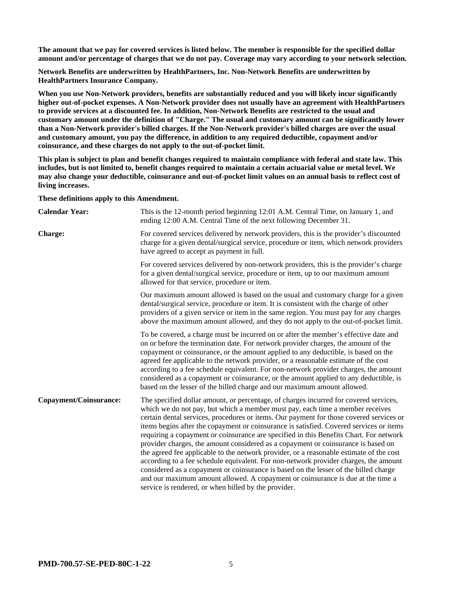**The amount that we pay for covered services is listed below. The member is responsible for the specified dollar amount and/or percentage of charges that we do not pay. Coverage may vary according to your network selection.**

**Network Benefits are underwritten by HealthPartners, Inc. Non-Network Benefits are underwritten by HealthPartners Insurance Company.**

**When you use Non-Network providers, benefits are substantially reduced and you will likely incur significantly higher out-of-pocket expenses. A Non-Network provider does not usually have an agreement with HealthPartners to provide services at a discounted fee. In addition, Non-Network Benefits are restricted to the usual and customary amount under the definition of "Charge." The usual and customary amount can be significantly lower than a Non-Network provider's billed charges. If the Non-Network provider's billed charges are over the usual and customary amount, you pay the difference, in addition to any required deductible, copayment and/or coinsurance, and these charges do not apply to the out-of-pocket limit.**

**This plan is subject to plan and benefit changes required to maintain compliance with federal and state law. This includes, but is not limited to, benefit changes required to maintain a certain actuarial value or metal level. We may also change your deductible, coinsurance and out-of-pocket limit values on an annual basis to reflect cost of living increases.**

**These definitions apply to this Amendment.**

| <b>Calendar Year:</b>         | This is the 12-month period beginning 12:01 A.M. Central Time, on January 1, and<br>ending 12:00 A.M. Central Time of the next following December 31.                                                                                                                                                                                                                                                                                                                                                                                                                                                                                                                                                                                                                                                                                                                                                                                                             |
|-------------------------------|-------------------------------------------------------------------------------------------------------------------------------------------------------------------------------------------------------------------------------------------------------------------------------------------------------------------------------------------------------------------------------------------------------------------------------------------------------------------------------------------------------------------------------------------------------------------------------------------------------------------------------------------------------------------------------------------------------------------------------------------------------------------------------------------------------------------------------------------------------------------------------------------------------------------------------------------------------------------|
| <b>Charge:</b>                | For covered services delivered by network providers, this is the provider's discounted<br>charge for a given dental/surgical service, procedure or item, which network providers<br>have agreed to accept as payment in full.                                                                                                                                                                                                                                                                                                                                                                                                                                                                                                                                                                                                                                                                                                                                     |
|                               | For covered services delivered by non-network providers, this is the provider's charge<br>for a given dental/surgical service, procedure or item, up to our maximum amount<br>allowed for that service, procedure or item.                                                                                                                                                                                                                                                                                                                                                                                                                                                                                                                                                                                                                                                                                                                                        |
|                               | Our maximum amount allowed is based on the usual and customary charge for a given<br>dental/surgical service, procedure or item. It is consistent with the charge of other<br>providers of a given service or item in the same region. You must pay for any charges<br>above the maximum amount allowed, and they do not apply to the out-of-pocket limit.                                                                                                                                                                                                                                                                                                                                                                                                                                                                                                                                                                                                        |
|                               | To be covered, a charge must be incurred on or after the member's effective date and<br>on or before the termination date. For network provider charges, the amount of the<br>copayment or coinsurance, or the amount applied to any deductible, is based on the<br>agreed fee applicable to the network provider, or a reasonable estimate of the cost<br>according to a fee schedule equivalent. For non-network provider charges, the amount<br>considered as a copayment or coinsurance, or the amount applied to any deductible, is<br>based on the lesser of the billed charge and our maximum amount allowed.                                                                                                                                                                                                                                                                                                                                              |
| <b>Copayment/Coinsurance:</b> | The specified dollar amount, or percentage, of charges incurred for covered services,<br>which we do not pay, but which a member must pay, each time a member receives<br>certain dental services, procedures or items. Our payment for those covered services or<br>items begins after the copayment or coinsurance is satisfied. Covered services or items<br>requiring a copayment or coinsurance are specified in this Benefits Chart. For network<br>provider charges, the amount considered as a copayment or coinsurance is based on<br>the agreed fee applicable to the network provider, or a reasonable estimate of the cost<br>according to a fee schedule equivalent. For non-network provider charges, the amount<br>considered as a copayment or coinsurance is based on the lesser of the billed charge<br>and our maximum amount allowed. A copayment or coinsurance is due at the time a<br>service is rendered, or when billed by the provider. |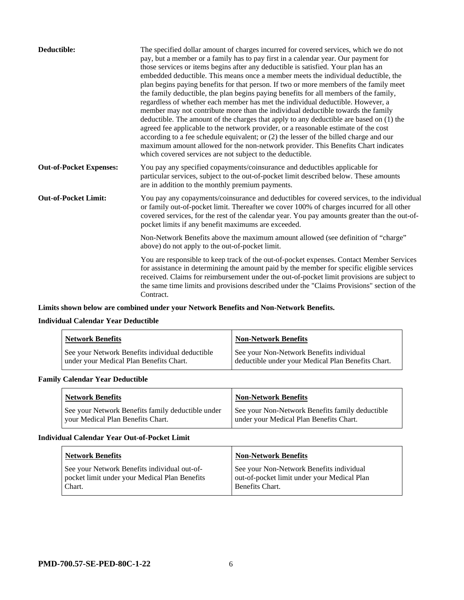| Deductible:                    | The specified dollar amount of charges incurred for covered services, which we do not<br>pay, but a member or a family has to pay first in a calendar year. Our payment for<br>those services or items begins after any deductible is satisfied. Your plan has an<br>embedded deductible. This means once a member meets the individual deductible, the<br>plan begins paying benefits for that person. If two or more members of the family meet<br>the family deductible, the plan begins paying benefits for all members of the family,<br>regardless of whether each member has met the individual deductible. However, a<br>member may not contribute more than the individual deductible towards the family<br>deductible. The amount of the charges that apply to any deductible are based on (1) the<br>agreed fee applicable to the network provider, or a reasonable estimate of the cost<br>according to a fee schedule equivalent; or (2) the lesser of the billed charge and our<br>maximum amount allowed for the non-network provider. This Benefits Chart indicates<br>which covered services are not subject to the deductible. |
|--------------------------------|--------------------------------------------------------------------------------------------------------------------------------------------------------------------------------------------------------------------------------------------------------------------------------------------------------------------------------------------------------------------------------------------------------------------------------------------------------------------------------------------------------------------------------------------------------------------------------------------------------------------------------------------------------------------------------------------------------------------------------------------------------------------------------------------------------------------------------------------------------------------------------------------------------------------------------------------------------------------------------------------------------------------------------------------------------------------------------------------------------------------------------------------------|
| <b>Out-of-Pocket Expenses:</b> | You pay any specified copayments/coinsurance and deductibles applicable for<br>particular services, subject to the out-of-pocket limit described below. These amounts<br>are in addition to the monthly premium payments.                                                                                                                                                                                                                                                                                                                                                                                                                                                                                                                                                                                                                                                                                                                                                                                                                                                                                                                        |
| <b>Out-of-Pocket Limit:</b>    | You pay any copayments/coinsurance and deductibles for covered services, to the individual<br>or family out-of-pocket limit. Thereafter we cover 100% of charges incurred for all other<br>covered services, for the rest of the calendar year. You pay amounts greater than the out-of-<br>pocket limits if any benefit maximums are exceeded.                                                                                                                                                                                                                                                                                                                                                                                                                                                                                                                                                                                                                                                                                                                                                                                                  |
|                                | Non-Network Benefits above the maximum amount allowed (see definition of "charge"<br>above) do not apply to the out-of-pocket limit.                                                                                                                                                                                                                                                                                                                                                                                                                                                                                                                                                                                                                                                                                                                                                                                                                                                                                                                                                                                                             |
|                                | You are responsible to keep track of the out-of-pocket expenses. Contact Member Services<br>for assistance in determining the amount paid by the member for specific eligible services<br>received. Claims for reimbursement under the out-of-pocket limit provisions are subject to<br>the same time limits and provisions described under the "Claims Provisions" section of the<br>Contract.                                                                                                                                                                                                                                                                                                                                                                                                                                                                                                                                                                                                                                                                                                                                                  |

# **Limits shown below are combined under your Network Benefits and Non-Network Benefits.**

# **Individual Calendar Year Deductible**

| <b>Network Benefits</b>                                                                    | <b>Non-Network Benefits</b>                                                                    |
|--------------------------------------------------------------------------------------------|------------------------------------------------------------------------------------------------|
| See your Network Benefits individual deductible<br>under your Medical Plan Benefits Chart. | See your Non-Network Benefits individual<br>deductible under your Medical Plan Benefits Chart. |

# **Family Calendar Year Deductible**

| <b>Network Benefits</b>                                                                | <b>Non-Network Benefits</b>                                                                |
|----------------------------------------------------------------------------------------|--------------------------------------------------------------------------------------------|
| See your Network Benefits family deductible under<br>vour Medical Plan Benefits Chart. | See your Non-Network Benefits family deductible<br>under your Medical Plan Benefits Chart. |

#### **Individual Calendar Year Out-of-Pocket Limit**

| <b>Network Benefits</b>                                                                                 | <b>Non-Network Benefits</b>                                                                                |
|---------------------------------------------------------------------------------------------------------|------------------------------------------------------------------------------------------------------------|
| See your Network Benefits individual out-of-<br>pocket limit under your Medical Plan Benefits<br>Chart. | See your Non-Network Benefits individual<br>out-of-pocket limit under your Medical Plan<br>Benefits Chart. |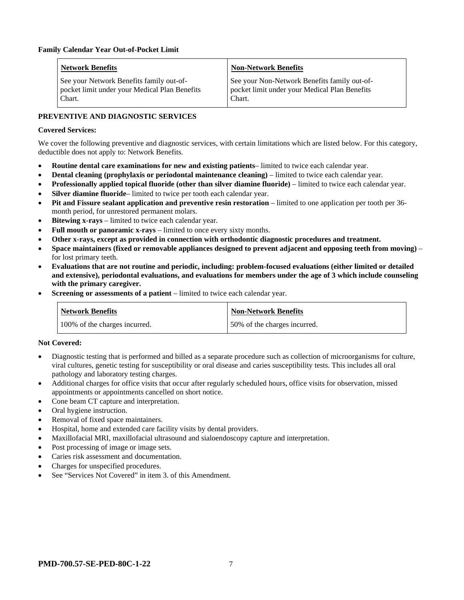| <b>Network Benefits</b>                                                                             | <b>Non-Network Benefits</b>                                                                             |
|-----------------------------------------------------------------------------------------------------|---------------------------------------------------------------------------------------------------------|
| See your Network Benefits family out-of-<br>pocket limit under your Medical Plan Benefits<br>Chart. | See your Non-Network Benefits family out-of-<br>pocket limit under your Medical Plan Benefits<br>Chart. |

# **PREVENTIVE AND DIAGNOSTIC SERVICES**

# **Covered Services:**

We cover the following preventive and diagnostic services, with certain limitations which are listed below. For this category, deductible does not apply to: Network Benefits.

- **Routine dental care examinations for new and existing patients** limited to twice each calendar year.
- **Dental cleaning (prophylaxis or periodontal maintenance cleaning)** limited to twice each calendar year.
- **Professionally applied topical fluoride (other than silver diamine fluoride)** limited to twice each calendar year.
- **Silver diamine fluoride** limited to twice per tooth each calendar year.
- **Pit and Fissure sealant application and preventive resin restoration** limited to one application per tooth per 36 month period, for unrestored permanent molars.
- **Bitewing x-rays** limited to twice each calendar year.
- **Full mouth or panoramic x-rays** limited to once every sixty months.
- **Other x-rays, except as provided in connection with orthodontic diagnostic procedures and treatment.**
- **Space maintainers (fixed or removable appliances designed to prevent adjacent and opposing teeth from moving)** for lost primary teeth.
- **Evaluations that are not routine and periodic, including: problem-focused evaluations (either limited or detailed and extensive), periodontal evaluations, and evaluations for members under the age of 3 which include counseling with the primary caregiver.**
- **Screening or assessments of a patient** limited to twice each calendar year.

| Network Benefits              | <b>Non-Network Benefits</b>  |
|-------------------------------|------------------------------|
| 100% of the charges incurred. | 50% of the charges incurred. |

### **Not Covered:**

- Diagnostic testing that is performed and billed as a separate procedure such as collection of microorganisms for culture, viral cultures, genetic testing for susceptibility or oral disease and caries susceptibility tests. This includes all oral pathology and laboratory testing charges.
- Additional charges for office visits that occur after regularly scheduled hours, office visits for observation, missed appointments or appointments cancelled on short notice.
- Cone beam CT capture and interpretation.
- Oral hygiene instruction.
- Removal of fixed space maintainers.
- Hospital, home and extended care facility visits by dental providers.
- Maxillofacial MRI, maxillofacial ultrasound and sialoendoscopy capture and interpretation.
- Post processing of image or image sets.
- Caries risk assessment and documentation.
- Charges for unspecified procedures.
- See "Services Not Covered" in item 3. of this Amendment.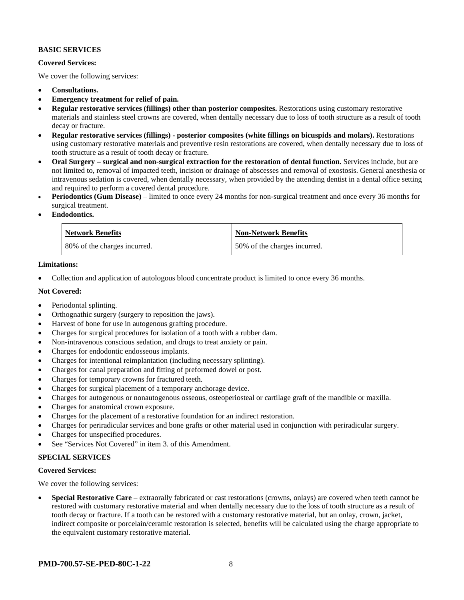# **BASIC SERVICES**

### **Covered Services:**

We cover the following services:

- **Consultations.**
- **Emergency treatment for relief of pain.**
- **Regular restorative services (fillings) other than posterior composites.** Restorations using customary restorative materials and stainless steel crowns are covered, when dentally necessary due to loss of tooth structure as a result of tooth decay or fracture.
- **Regular restorative services (fillings) - posterior composites (white fillings on bicuspids and molars).** Restorations using customary restorative materials and preventive resin restorations are covered, when dentally necessary due to loss of tooth structure as a result of tooth decay or fracture.
- **Oral Surgery – surgical and non-surgical extraction for the restoration of dental function.** Services include, but are not limited to, removal of impacted teeth, incision or drainage of abscesses and removal of exostosis. General anesthesia or intravenous sedation is covered, when dentally necessary, when provided by the attending dentist in a dental office setting and required to perform a covered dental procedure.
- **Periodontics (Gum Disease)** limited to once every 24 months for non-surgical treatment and once every 36 months for surgical treatment.
- **Endodontics.**

| <b>Network Benefits</b>      | Non-Network Benefits         |
|------------------------------|------------------------------|
| 80% of the charges incurred. | 50% of the charges incurred. |

### **Limitations:**

• Collection and application of autologous blood concentrate product is limited to once every 36 months.

### **Not Covered:**

- Periodontal splinting.
- Orthognathic surgery (surgery to reposition the jaws).
- Harvest of bone for use in autogenous grafting procedure.
- Charges for surgical procedures for isolation of a tooth with a rubber dam.
- Non-intravenous conscious sedation, and drugs to treat anxiety or pain.
- Charges for endodontic endosseous implants.
- Charges for intentional reimplantation (including necessary splinting).
- Charges for canal preparation and fitting of preformed dowel or post.
- Charges for temporary crowns for fractured teeth.
- Charges for surgical placement of a temporary anchorage device.
- Charges for autogenous or nonautogenous osseous, osteoperiosteal or cartilage graft of the mandible or maxilla.
- Charges for anatomical crown exposure.
- Charges for the placement of a restorative foundation for an indirect restoration.
- Charges for periradicular services and bone grafts or other material used in conjunction with periradicular surgery.
- Charges for unspecified procedures.
- See "Services Not Covered" in item 3. of this Amendment.

# **SPECIAL SERVICES**

### **Covered Services:**

We cover the following services:

• **Special Restorative Care** – extraorally fabricated or cast restorations (crowns, onlays) are covered when teeth cannot be restored with customary restorative material and when dentally necessary due to the loss of tooth structure as a result of tooth decay or fracture. If a tooth can be restored with a customary restorative material, but an onlay, crown, jacket, indirect composite or porcelain/ceramic restoration is selected, benefits will be calculated using the charge appropriate to the equivalent customary restorative material.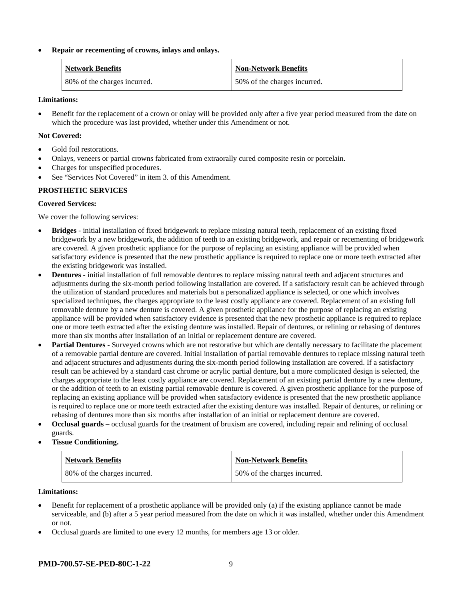# • **Repair or recementing of crowns, inlays and onlays.**

| <b>Network Benefits</b>      | <b>Non-Network Benefits</b>  |
|------------------------------|------------------------------|
| 80% of the charges incurred. | 50% of the charges incurred. |

### **Limitations:**

• Benefit for the replacement of a crown or onlay will be provided only after a five year period measured from the date on which the procedure was last provided, whether under this Amendment or not.

#### **Not Covered:**

- Gold foil restorations.
- Onlays, veneers or partial crowns fabricated from extraorally cured composite resin or porcelain.
- Charges for unspecified procedures.
- See "Services Not Covered" in item 3. of this Amendment.

### **PROSTHETIC SERVICES**

#### **Covered Services:**

We cover the following services:

- **Bridges** initial installation of fixed bridgework to replace missing natural teeth, replacement of an existing fixed bridgework by a new bridgework, the addition of teeth to an existing bridgework, and repair or recementing of bridgework are covered. A given prosthetic appliance for the purpose of replacing an existing appliance will be provided when satisfactory evidence is presented that the new prosthetic appliance is required to replace one or more teeth extracted after the existing bridgework was installed.
- **Dentures** initial installation of full removable dentures to replace missing natural teeth and adjacent structures and adjustments during the six-month period following installation are covered. If a satisfactory result can be achieved through the utilization of standard procedures and materials but a personalized appliance is selected, or one which involves specialized techniques, the charges appropriate to the least costly appliance are covered. Replacement of an existing full removable denture by a new denture is covered. A given prosthetic appliance for the purpose of replacing an existing appliance will be provided when satisfactory evidence is presented that the new prosthetic appliance is required to replace one or more teeth extracted after the existing denture was installed. Repair of dentures, or relining or rebasing of dentures more than six months after installation of an initial or replacement denture are covered.
- **Partial Dentures** Surveyed crowns which are not restorative but which are dentally necessary to facilitate the placement of a removable partial denture are covered. Initial installation of partial removable dentures to replace missing natural teeth and adjacent structures and adjustments during the six-month period following installation are covered. If a satisfactory result can be achieved by a standard cast chrome or acrylic partial denture, but a more complicated design is selected, the charges appropriate to the least costly appliance are covered. Replacement of an existing partial denture by a new denture, or the addition of teeth to an existing partial removable denture is covered. A given prosthetic appliance for the purpose of replacing an existing appliance will be provided when satisfactory evidence is presented that the new prosthetic appliance is required to replace one or more teeth extracted after the existing denture was installed. Repair of dentures, or relining or rebasing of dentures more than six months after installation of an initial or replacement denture are covered.
- **Occlusal guards** occlusal guards for the treatment of bruxism are covered, including repair and relining of occlusal guards.
- **Tissue Conditioning.**

| <b>Network Benefits</b>      | <b>Non-Network Benefits</b>  |
|------------------------------|------------------------------|
| 80% of the charges incurred. | 50% of the charges incurred. |

#### **Limitations:**

- Benefit for replacement of a prosthetic appliance will be provided only (a) if the existing appliance cannot be made serviceable, and (b) after a 5 year period measured from the date on which it was installed, whether under this Amendment or not.
- Occlusal guards are limited to one every 12 months, for members age 13 or older.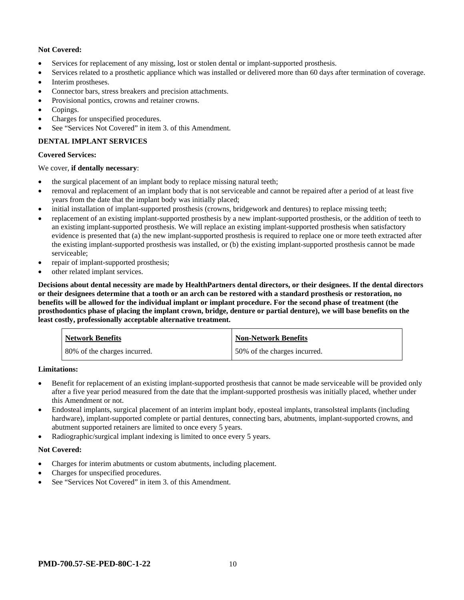# **Not Covered:**

- Services for replacement of any missing, lost or stolen dental or implant-supported prosthesis.
- Services related to a prosthetic appliance which was installed or delivered more than 60 days after termination of coverage.
- Interim prostheses.
- Connector bars, stress breakers and precision attachments.
- Provisional pontics, crowns and retainer crowns.
- Copings.
- Charges for unspecified procedures.
- See "Services Not Covered" in item 3. of this Amendment.

# **DENTAL IMPLANT SERVICES**

### **Covered Services:**

### We cover, **if dentally necessary**:

- the surgical placement of an implant body to replace missing natural teeth;
- removal and replacement of an implant body that is not serviceable and cannot be repaired after a period of at least five years from the date that the implant body was initially placed;
- initial installation of implant-supported prosthesis (crowns, bridgework and dentures) to replace missing teeth;
- replacement of an existing implant-supported prosthesis by a new implant-supported prosthesis, or the addition of teeth to an existing implant-supported prosthesis. We will replace an existing implant-supported prosthesis when satisfactory evidence is presented that (a) the new implant-supported prosthesis is required to replace one or more teeth extracted after the existing implant-supported prosthesis was installed, or (b) the existing implant-supported prosthesis cannot be made serviceable;
- repair of implant-supported prosthesis;
- other related implant services.

**Decisions about dental necessity are made by HealthPartners dental directors, or their designees. If the dental directors or their designees determine that a tooth or an arch can be restored with a standard prosthesis or restoration, no benefits will be allowed for the individual implant or implant procedure. For the second phase of treatment (the prosthodontics phase of placing the implant crown, bridge, denture or partial denture), we will base benefits on the least costly, professionally acceptable alternative treatment.**

| <b>Network Benefits</b>      | <b>Non-Network Benefits</b>  |
|------------------------------|------------------------------|
| 80% of the charges incurred. | 50% of the charges incurred. |

### **Limitations:**

- Benefit for replacement of an existing implant-supported prosthesis that cannot be made serviceable will be provided only after a five year period measured from the date that the implant-supported prosthesis was initially placed, whether under this Amendment or not.
- Endosteal implants, surgical placement of an interim implant body, eposteal implants, transolsteal implants (including hardware), implant-supported complete or partial dentures, connecting bars, abutments, implant-supported crowns, and abutment supported retainers are limited to once every 5 years.
- Radiographic/surgical implant indexing is limited to once every 5 years.

### **Not Covered:**

- Charges for interim abutments or custom abutments, including placement.
- Charges for unspecified procedures.
- See "Services Not Covered" in item 3. of this Amendment.